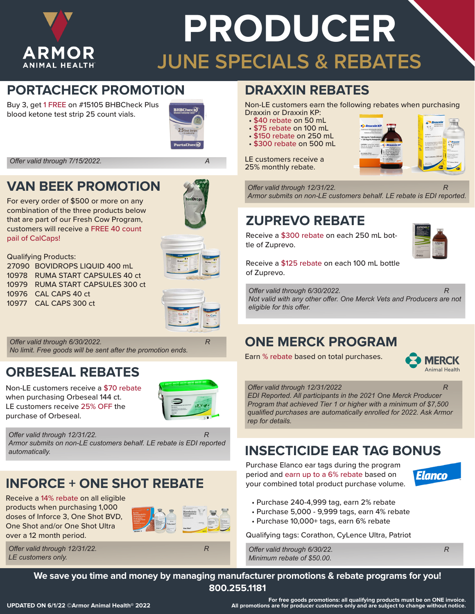

# **PRODUCER JUNE SPECIALS & REBATES**

#### **PORTACHECK PROMOTION**

Buy 3, get 1 FREE on #15105 BHBCheck Plus blood ketone test strip 25 count vials.



*Offer valid through 7/15/2022. A*

#### **VAN BEEK PROMOTION**

For every order of \$500 or more on any combination of the three products below that are part of our Fresh Cow Program, customers will receive a FREE 40 count pail of CalCaps!



Qualifying Products: BOVIDROPS LIQUID 400 mL RUMA START CAPSULES 40 ct RUMA START CAPSULES 300 ct CAL CAPS 40 ct CAL CAPS 300 ct



*Offer valid through 6/30/2022. R No limit. Free goods will be sent after the promotion ends.*

#### **ORBESEAL REBATES**

Non-LE customers receive a \$70 rebate when purchasing Orbeseal 144 ct. LE customers receive 25% OFF the purchase of Orbeseal.



*Offer valid through 12/31/22.* R *Armor submits on non-LE customers behalf. LE rebate is EDI reported automatically.*

# **INFORCE + ONE SHOT REBATE**

Receive a 14% rebate on all eligible products when purchasing 1,000 doses of Inforce 3, One Shot BVD, One Shot and/or One Shot Ultra over a 12 month period.



*Offer valid through 12/31/22.* R *LE customers only.*

#### **DRAXXIN REBATES** Non-LE customers earn the following rebates when purchasing

- Draxxin or Draxxin KP:<br>• \$40 rebate on 50 mL
- 
- 
- \$75 rebate on 100 mL<br>• \$150 rebate on 250 mL<br>• \$300 rebate on 500 mL
- 

LE customers receive a 25% monthly rebate.



*Offer valid through 12/31/22.* R

*Armor submits on non-LE customers behalf. LE rebate is EDI reported.*

# **ZUPREVO REBATE**

Receive a \$300 rebate on each 250 mL bottle of Zuprevo.



Receive a \$125 rebate on each 100 mL bottle of Zuprevo.

*Offer valid through 6/30/2022. Not valid with any other offer. One Merck Vets and Producers are not eligible for this offer.*

### **ONE MERCK PROGRAM**

Earn % rebate based on total purchases.



*Offer valid through 12/31/2022 R*

*EDI Reported. All participants in the 2021 One Merck Producer Program that achieved Tier 1 or higher with a minimum of \$7,500 qualified purchases are automatically enrolled for 2022. Ask Armor rep for details.*

# **INSECTICIDE EAR TAG BONUS**

Purchase Elanco ear tags during the program period and earn up to a 6% rebate based on your combined total product purchase volume.



- Purchase 240-4,999 tag, earn 2% rebate
- Purchase 5,000 9,999 tags, earn 4% rebate
- Purchase 10,000+ tags, earn 6% rebate

Qualifying tags: Corathon, CyLence Ultra, Patriot

*Offer valid through 6/30/22. R Minimum rebate of \$50.00.*



**We save you time and money by managing manufacturer promotions & rebate programs for you! 800.255.1181**

**For free goods promotions: all qualifying products must be on ONE invoice. All promotions are for producer customers only and are subject to change without notice.**